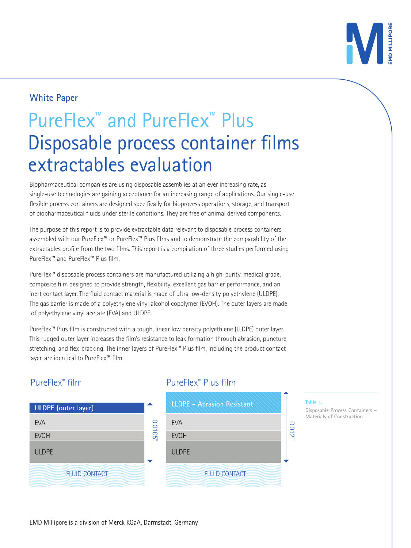

# **White Paper**

# PureFlex™ and PureFlex™ Plus Disposable process container films extractables evaluation

Biopharmaceutical companies are using disposable assemblies at an ever increasing rate, as single-use technologies are gaining acceptance for an increasing range of applications. Our single-use flexible process containers are designed specifically for bioprocess operations, storage, and transport of biopharmaceutical fluids under sterile conditions. They are free of animal derived components.

The purpose of this report is to provide extractable data relevant to disposable process containers assembled with our PureFlex™ or PureFlex™ Plus films and to demonstrate the comparability of the extractables profile from the two films. This report is a compilation of three studies performed using PureFlex™ and PureFlex™ Plus film.

PureFlex™ disposable process containers are manufactured utilizing a high-purity, medical grade, composite film designed to provide strength, flexibility, excellent gas barrier performance, and an inert contact layer. The fluid contact material is made of ultra low-density polyethylene (ULDPE). The gas barrier is made of a polyethylene vinyl alcohol copolymer (EVOH). The outer layers are made of polyethylene vinyl acetate (EVA) and ULDPE.

PureFlex™ Plus film is constructed with a tough, linear low density polyethlene (LLDPE) outer layer. This rugged outer layer increases the film's resistance to leak formation through abrasion, puncture, stretching, and flex-cracking. The inner layers of PureFlex™ Plus film, including the product contact layer, are identical to PureFlex™ film.

# PureFlex<sup>™</sup> film

| <b>ULDPE</b> (outer layer) |                      |
|----------------------------|----------------------|
| EVA                        |                      |
| <b>EVOH</b>                | מחו ח <sup>י</sup> ח |
| <b>ULDPE</b>               |                      |
| <b>FLUID CONTACT</b>       |                      |

# PureFlex™ Plus film



#### **Table 1.**

**Disposable Process Containers – Materials of Construction**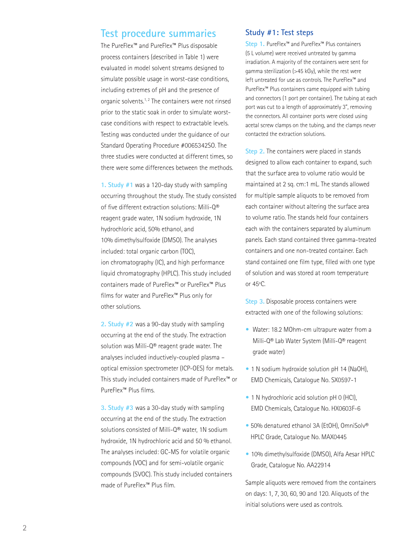# **Test procedure summaries**

The PureFlex™ and PureFlex™ Plus disposable process containers (described in Table 1) were evaluated in model solvent streams designed to simulate possible usage in worst-case conditions, including extremes of pH and the presence of organic solvents.<sup>1, 2</sup> The containers were not rinsed prior to the static soak in order to simulate worstcase conditions with respect to extractable levels. Testing was conducted under the guidance of our Standard Operating Procedure #0065342SO. The three studies were conducted at different times, so there were some differences between the methods.

**1. Study #1** was a 120-day study with sampling occurring throughout the study. The study consisted of five different extraction solutions: Milli-Q® reagent grade water, 1N sodium hydroxide, 1N hydrochloric acid, 50% ethanol, and 10% dimethylsulfoxide (DMSO). The analyses included: total organic carbon (TOC), ion chromatography (IC), and high performance liquid chromatography (HPLC). This study included containers made of PureFlex™ or PureFlex™ Plus films for water and PureFlex™ Plus only for other solutions.

**2. Study #2** was a 90-day study with sampling occurring at the end of the study. The extraction solution was Milli-Q® reagent grade water. The analyses included inductively-coupled plasma – optical emission spectrometer (ICP-OES) for metals. This study included containers made of PureFlex™ or PureFlex™ Plus films.

**3. Study #3** was a 30-day study with sampling occurring at the end of the study. The extraction solutions consisted of Milli-Q® water, 1N sodium hydroxide, 1N hydrochloric acid and 50 % ethanol. The analyses included: GC-MS for volatile organic compounds (VOC) and for semi-volatile organic compounds (SVOC). This study included containers made of PureFlex™ Plus film.

#### **Study #1: Test steps**

**Step 1.** PureFlex™ and PureFlex™ Plus containers (5 L volume) were received untreated by gamma irradiation. A majority of the containers were sent for gamma sterilization (>45 kGy), while the rest were left untreated for use as controls. The PureFlex™ and PureFlex™ Plus containers came equipped with tubing and connectors (1 port per container). The tubing at each port was cut to a length of approximately 3", removing the connectors. All container ports were closed using acetal screw clamps on the tubing, and the clamps never contacted the extraction solutions.

**Step 2.** The containers were placed in stands designed to allow each container to expand, such that the surface area to volume ratio would be maintained at 2 sq. cm:1 mL. The stands allowed for multiple sample aliquots to be removed from each container without altering the surface area to volume ratio. The stands held four containers each with the containers separated by aluminum panels. Each stand contained three gamma-treated containers and one non-treated container. Each stand contained one film type, filled with one type of solution and was stored at room temperature or 45ºC.

**Step 3.** Disposable process containers were extracted with one of the following solutions:

- Water: 18.2 MOhm-cm ultrapure water from a Milli-Q® Lab Water System (Milli-Q® reagent grade water)
- 1 N sodium hydroxide solution pH 14 (NaOH), EMD Chemicals, Catalogue No. SX0597-1
- 1 N hydrochloric acid solution pH 0 (HCl), EMD Chemicals, Catalogue No. HX0603F-6
- **•** 50% denatured ethanol 3A (EtOH), OmniSolv® HPLC Grade, Catalogue No. MAX0445
- 10% dimethylsulfoxide (DMSO), Alfa Aesar HPLC Grade, Catalogue No. AA22914

Sample aliquots were removed from the containers on days: 1, 7, 30, 60, 90 and 120. Aliquots of the initial solutions were used as controls.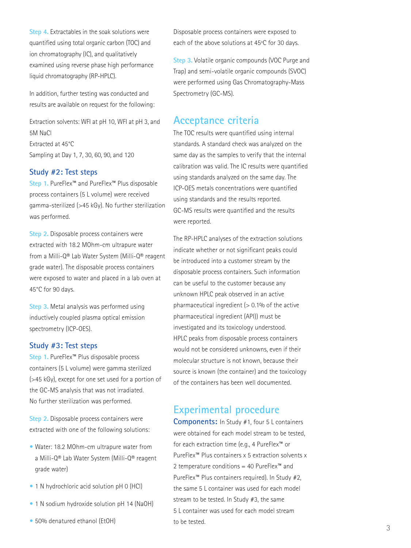**Step 4.** Extractables in the soak solutions were quantified using total organic carbon (TOC) and ion chromatography (IC), and qualitatively examined using reverse phase high performance liquid chromatography (RP-HPLC).

In addition, further testing was conducted and results are available on request for the following:

Extraction solvents: WFI at pH 10, WFI at pH 3, and 5M NaCl Extracted at 45°C Sampling at Day 1, 7, 30, 60, 90, and 120

#### **Study #2: Test steps**

**Step 1.** PureFlex™ and PureFlex™ Plus disposable process containers (5 L volume) were received gamma-sterilized (>45 kGy). No further sterilization was performed.

**Step 2.** Disposable process containers were extracted with 18.2 MOhm-cm ultrapure water from a Milli-Q® Lab Water System (Milli-Q® reagent grade water). The disposable process containers were exposed to water and placed in a lab oven at 45°C for 90 days.

**Step 3.** Metal analysis was performed using inductively coupled plasma optical emission spectrometry (ICP-OES).

#### **Study #3: Test steps**

**Step 1.** PureFlex™ Plus disposable process containers (5 L volume) were gamma sterilized (>45 kGy), except for one set used for a portion of the GC-MS analysis that was not irradiated. No further sterilization was performed.

**Step 2.** Disposable process containers were extracted with one of the following solutions:

- Water: 18.2 MOhm-cm ultrapure water from a Milli-Q® Lab Water System (Milli-Q® reagent grade water)
- 1 N hydrochloric acid solution pH 0 (HCl)
- 1 N sodium hydroxide solution pH 14 (NaOH)
- 50% denatured ethanol (EtOH)

Disposable process containers were exposed to each of the above solutions at 45ºC for 30 days.

**Step 3.** Volatile organic compounds (VOC Purge and Trap) and semi-volatile organic compounds (SVOC) were performed using Gas Chromatography-Mass Spectrometry (GC-MS).

# **Acceptance criteria**

The TOC results were quantified using internal standards. A standard check was analyzed on the same day as the samples to verify that the internal calibration was valid. The IC results were quantified using standards analyzed on the same day. The ICP-OES metals concentrations were quantified using standards and the results reported. GC-MS results were quantified and the results were reported.

The RP-HPLC analyses of the extraction solutions indicate whether or not significant peaks could be introduced into a customer stream by the disposable process containers. Such information can be useful to the customer because any unknown HPLC peak observed in an active pharmaceutical ingredient ( $> 0.1\%$  of the active pharmaceutical ingredient (API)) must be investigated and its toxicology understood. HPLC peaks from disposable process containers would not be considered unknowns, even if their molecular structure is not known, because their source is known (the container) and the toxicology of the containers has been well documented.

# **Experimental procedure**

**Components:** In Study #1, four 5 L containers were obtained for each model stream to be tested, for each extraction time (e.g., 4 PureFlex™ or PureFlex™ Plus containers x 5 extraction solvents x 2 temperature conditions = 40 PureFlex™ and PureFlex™ Plus containers required). In Study #2, the same 5 L container was used for each model stream to be tested. In Study #3, the same 5 L container was used for each model stream to be tested.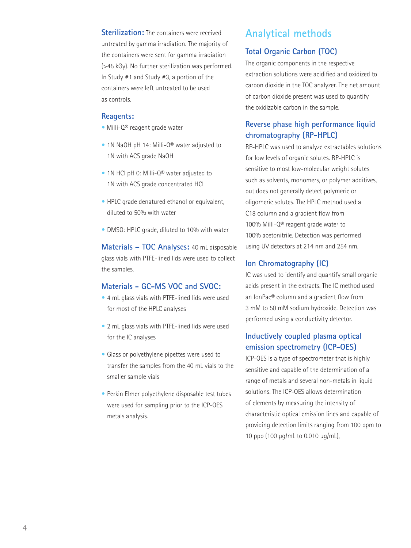**Sterilization:** The containers were received untreated by gamma irradiation. The majority of the containers were sent for gamma irradiation (>45 kGy). No further sterilization was performed. In Study #1 and Study #3, a portion of the containers were left untreated to be used as controls.

#### **Reagents:**

- **•** Milli-Q® reagent grade water
- 1N NaOH pH 14: Milli-Q® water adjusted to 1N with ACS grade NaOH
- 1N HCl pH 0: Milli-Q® water adjusted to 1N with ACS grade concentrated HCl
- HPLC grade denatured ethanol or equivalent, diluted to 50% with water
- DMSO: HPLC grade, diluted to 10% with water

**Materials – TOC Analyses:** 40 mL disposable glass vials with PTFE-lined lids were used to collect the samples.

### **Materials - GC-MS VOC and SVOC:**

- 4 mL glass vials with PTFE-lined lids were used for most of the HPLC analyses
- 2 mL glass vials with PTFE-lined lids were used for the IC analyses
- Glass or polyethylene pipettes were used to transfer the samples from the 40 mL vials to the smaller sample vials
- Perkin Elmer polyethylene disposable test tubes were used for sampling prior to the ICP-OES metals analysis.

# **Analytical methods**

### **Total Organic Carbon (TOC)**

The organic components in the respective extraction solutions were acidified and oxidized to carbon dioxide in the TOC analyzer. The net amount of carbon dioxide present was used to quantify the oxidizable carbon in the sample.

# **Reverse phase high performance liquid chromatography (RP-HPLC)**

RP-HPLC was used to analyze extractables solutions for low levels of organic solutes. RP-HPLC is sensitive to most low-molecular weight solutes such as solvents, monomers, or polymer additives, but does not generally detect polymeric or oligomeric solutes. The HPLC method used a C18 column and a gradient flow from 100% Milli-Q® reagent grade water to 100% acetonitrile. Detection was performed using UV detectors at 214 nm and 254 nm.

### **Ion Chromatography (IC)**

IC was used to identify and quantify small organic acids present in the extracts. The IC method used an IonPac® column and a gradient flow from 3 mM to 50 mM sodium hydroxide. Detection was performed using a conductivity detector.

### **Inductively coupled plasma optical emission spectrometry (ICP-OES)**

ICP-OES is a type of spectrometer that is highly sensitive and capable of the determination of a range of metals and several non-metals in liquid solutions. The ICP-OES allows determination of elements by measuring the intensity of characteristic optical emission lines and capable of providing detection limits ranging from 100 ppm to 10 ppb (100 µg/mL to 0.010 ug/mL),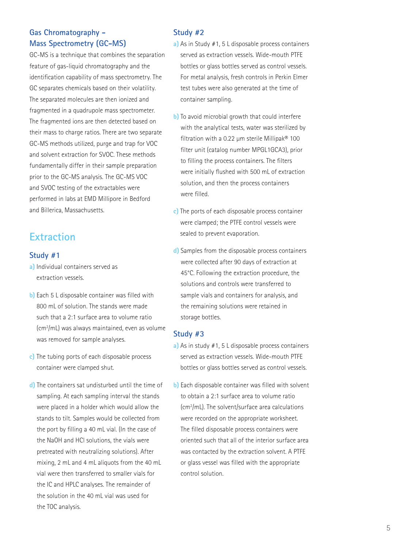# **Gas Chromatography - Mass Spectrometry (GC-MS)**

GC-MS is a technique that combines the separation feature of gas-liquid chromatography and the identification capability of mass spectrometry. The GC separates chemicals based on their volatility. The separated molecules are then ionized and fragmented in a quadrupole mass spectrometer. The fragmented ions are then detected based on their mass to charge ratios. There are two separate GC-MS methods utilized, purge and trap for VOC and solvent extraction for SVOC. These methods fundamentally differ in their sample preparation prior to the GC-MS analysis. The GC-MS VOC and SVOC testing of the extractables were performed in labs at EMD Millipore in Bedford and Billerica, Massachusetts.

# **Extraction**

### **Study #1**

- **a)** Individual containers served as extraction vessels.
- **b)** Each 5 L disposable container was filled with 800 mL of solution. The stands were made such that a 2:1 surface area to volume ratio (cm2 /mL) was always maintained, even as volume was removed for sample analyses.
- **c)** The tubing ports of each disposable process container were clamped shut.
- **d)** The containers sat undisturbed until the time of sampling. At each sampling interval the stands were placed in a holder which would allow the stands to tilt. Samples would be collected from the port by filling a 40 mL vial. (In the case of the NaOH and HCl solutions, the vials were pretreated with neutralizing solutions). After mixing, 2 mL and 4 mL aliquots from the 40 mL vial were then transferred to smaller vials for the IC and HPLC analyses. The remainder of the solution in the 40 mL vial was used for the TOC analysis.

### **Study #2**

- **a)** As in Study #1, 5 L disposable process containers served as extraction vessels. Wide-mouth PTFE bottles or glass bottles served as control vessels. For metal analysis, fresh controls in Perkin Elmer test tubes were also generated at the time of container sampling.
- **b)** To avoid microbial growth that could interfere with the analytical tests, water was sterilized by filtration with a 0.22  $\mu$ m sterile Millipak® 100 filter unit (catalog number MPGL1GCA3), prior to filling the process containers. The filters were initially flushed with 500 mL of extraction solution, and then the process containers were filled.
- **c)** The ports of each disposable process container were clamped; the PTFE control vessels were sealed to prevent evaporation.
- **d)** Samples from the disposable process containers were collected after 90 days of extraction at 45°C. Following the extraction procedure, the solutions and controls were transferred to sample vials and containers for analysis, and the remaining solutions were retained in storage bottles.

### **Study #3**

- **a)** As in study #1, 5 L disposable process containers served as extraction vessels. Wide-mouth PTFE bottles or glass bottles served as control vessels.
- **b)** Each disposable container was filled with solvent to obtain a 2:1 surface area to volume ratio (cm2 /mL). The solvent/surface area calculations were recorded on the appropriate worksheet. The filled disposable process containers were oriented such that all of the interior surface area was contacted by the extraction solvent. A PTFE or glass vessel was filled with the appropriate control solution.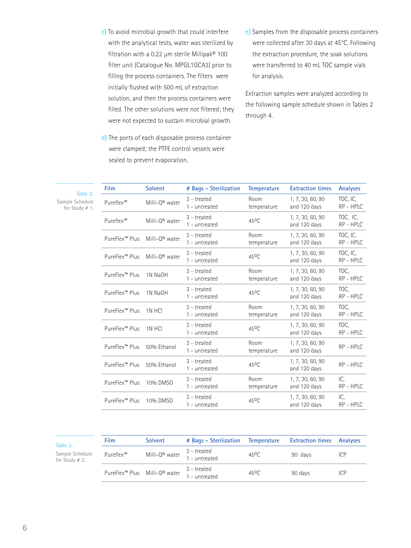**c)** To avoid microbial growth that could interfere with the analytical tests, water was sterilized by filtration with a 0.22 µm sterile Millipak® 100 filter unit (Catalogue No. MPGL1GCA3) prior to filling the process containers. The filters were initially flushed with 500 mL of extraction solution, and then the process containers were filled. The other solutions were not filtered; they were not expected to sustain microbial growth.

- **d)** The ports of each disposable process container were clamped; the PTFE control vessels were sealed to prevent evaporation.
- **e)** Samples from the disposable process containers were collected after 30 days at 45°C. Following the extraction procedure, the soak solutions were transferred to 40 mL TOC sample vials for analysis.

Extraction samples were analyzed according to the following sample schedule shown in Tables 2 through 4.

| TOC, IC,<br>Room<br>1, 7, 30, 60, 90<br>$3$ - treated<br>Milli-Q® water<br>Pureflex™<br>1 - untreated<br>temperature<br>and 120 days<br>TOC, IC.<br>3 - treated<br>1, 7, 30, 60, 90<br>Milli-0 <sup>®</sup> water<br>$45^{\circ}$ C<br>Pureflex™<br>and 120 days<br>1 - untreated<br>TOC, IC,<br>Room<br>1, 7, 30, 60, 90<br>$3$ - treated<br>Milli-0 <sup>®</sup> water<br>PureFlex <sup>™</sup> Plus<br>1 - untreated<br>temperature<br>and 120 days<br>TOC, IC,<br>3 - treated<br>1, 7, 30, 60, 90<br>Milli-0 <sup>®</sup> water<br>$45^{\circ}$ C<br>PureFlex <sup>™</sup> Plus<br>and 120 days<br>1 - untreated | RP - HPLC<br>RP - HPLC<br>RP - HPLC<br>RP - HPLC |
|----------------------------------------------------------------------------------------------------------------------------------------------------------------------------------------------------------------------------------------------------------------------------------------------------------------------------------------------------------------------------------------------------------------------------------------------------------------------------------------------------------------------------------------------------------------------------------------------------------------------|--------------------------------------------------|
|                                                                                                                                                                                                                                                                                                                                                                                                                                                                                                                                                                                                                      |                                                  |
|                                                                                                                                                                                                                                                                                                                                                                                                                                                                                                                                                                                                                      |                                                  |
|                                                                                                                                                                                                                                                                                                                                                                                                                                                                                                                                                                                                                      |                                                  |
|                                                                                                                                                                                                                                                                                                                                                                                                                                                                                                                                                                                                                      |                                                  |
| TOC.<br>3 - treated<br>Room<br>1, 7, 30, 60, 90<br>PureFlex <sup>™</sup> Plus<br>1N NaOH<br>1 - untreated<br>and 120 days<br>temperature                                                                                                                                                                                                                                                                                                                                                                                                                                                                             | RP - HPLC                                        |
| TOC,<br>$3$ - treated<br>1, 7, 30, 60, 90<br>45 <sup>o</sup> C<br>PureFlex <sup>™</sup> Plus<br>1N NaOH<br>and 120 days<br>1 - untreated                                                                                                                                                                                                                                                                                                                                                                                                                                                                             | RP - HPLC                                        |
| TOC.<br>Room<br>3 - treated<br>1, 7, 30, 60, 90<br>PureFlex <sup>™</sup> Plus<br>1N HCI<br>and 120 days<br>1 - untreated<br>temperature                                                                                                                                                                                                                                                                                                                                                                                                                                                                              | RP - HPLC                                        |
| TOC.<br>3 - treated<br>1, 7, 30, 60, 90<br>PureFlex <sup>™</sup> Plus<br>$45^{\circ}$ C<br>1N HCI<br>1 - untreated<br>and 120 days                                                                                                                                                                                                                                                                                                                                                                                                                                                                                   | RP - HPLC                                        |
| Room<br>3 - treated<br>1, 7, 30, 60, 90<br>PureFlex <sup>™</sup> Plus<br>50% Ethanol<br>1 - untreated<br>and 120 days<br>temperature                                                                                                                                                                                                                                                                                                                                                                                                                                                                                 | RP - HPLC                                        |
| 3 - treated<br>1, 7, 30, 60, 90<br>$45^{\circ}$ C<br>PureFlex™ Plus<br>50% Ethanol<br>and 120 days<br>1 - untreated                                                                                                                                                                                                                                                                                                                                                                                                                                                                                                  | RP - HPLC                                        |
| Room<br>IC.<br>1, 7, 30, 60, 90<br>$3$ - treated<br>PureFlex <sup>™</sup> Plus<br>10% DMSO<br>and 120 days<br>1 - untreated<br>temperature                                                                                                                                                                                                                                                                                                                                                                                                                                                                           | RP - HPLC                                        |
| IC.<br>3 - treated<br>1, 7, 30, 60, 90<br>$45^{\circ}$ C<br>PureFlex <sup>™</sup> Plus<br>10% DMS0<br>and 120 days<br>1 - untreated                                                                                                                                                                                                                                                                                                                                                                                                                                                                                  | RP - HPLC                                        |

| . |  |  |
|---|--|--|

Sample Schedule for Study # 2.

**Table 2.**  Sample Schedule for Study # 1.

| Film      | <b>Solvent</b>                                                                                         | # Bags - Sterilization       | Temperature    | <b>Extraction times</b> Analyses |     |
|-----------|--------------------------------------------------------------------------------------------------------|------------------------------|----------------|----------------------------------|-----|
| Pureflex™ | Milli- $Q^{\circledR}$ water $\begin{array}{c} 3 - \text{treated} \\ 1 - \text{untreated} \end{array}$ |                              | $45^{\circ}$ C | 90 days                          | ICP |
|           | PureFlex <sup>™</sup> Plus Milli-Q® water                                                              | 3 - treated<br>1 - untreated | $45^{\circ}$ C | 90 days                          | ICP |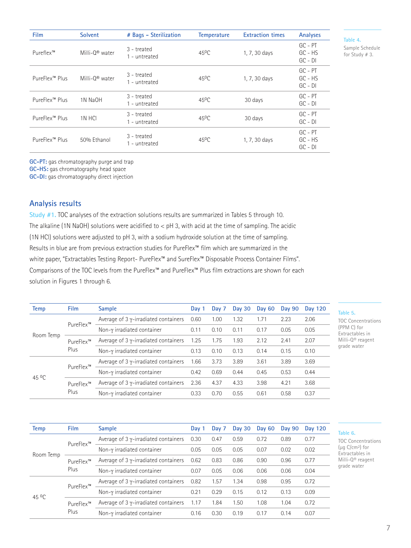| <b>Film</b>                | <b>Solvent</b>             | # Bags - Sterilization         | <b>Temperature</b> | <b>Extraction times</b> | Analyses                            |
|----------------------------|----------------------------|--------------------------------|--------------------|-------------------------|-------------------------------------|
| Pureflex™                  | Milli-0 <sup>®</sup> water | $3$ – treated<br>1 - untreated | $45^{\circ}$ C     | 1, 7, 30 days           | $GC - PT$<br>$GC - HS$<br>$GC - DI$ |
| PureFlex™ Plus             | Milli-0 <sup>®</sup> water | $3$ – treated<br>1 - untreated | $45^{\circ}$ C     | 1, 7, 30 days           | $GC - PT$<br>$GC - HS$<br>$GC - DI$ |
| PureFlex <sup>™</sup> Plus | 1N NaOH                    | $3$ – treated<br>1 - untreated | $45^{\circ}$ C     | 30 days                 | $GC - PT$<br>$GC - DI$              |
| PureFlex™ Plus             | 1N HCI                     | 3 - treated<br>1 - untreated   | $45^{\circ}$ C     | 30 days                 | $GC - PT$<br>$GC - DI$              |
| PureFlex™ Plus             | 50% Ethanol                | $3$ – treated<br>1 - untreated | $45^{\circ}$ C     | 1, 7, 30 days           | $GC - PT$<br>$GC - HS$<br>$GC - DI$ |

**Table 4.**  Sample Schedule for Study # 3.

**GC-PT:** gas chromatography purge and trap

**GC-HS:** gas chromatography head space

**GC-DI:** gas chromatography direct injection

### **Analysis results**

**Study #1.** TOC analyses of the extraction solutions results are summarized in Tables 5 through 10. The alkaline (1N NaOH) solutions were acidified to < pH 3, with acid at the time of sampling. The acidic (1N HCl) solutions were adjusted to pH 3, with a sodium hydroxide solution at the time of sampling. Results in blue are from previous extraction studies for PureFlex™ film which are summarized in the white paper, "Extractables Testing Report- PureFlex™ and SureFlex™ Disposable Process Container Films". Comparisons of the TOC levels from the PureFlex™ and PureFlex™ Plus film extractions are shown for each solution in Figures 1 through 6.

| Temp            | Film              | <b>Sample</b>                                | Day 1 | Day 7 | <b>Day 30</b> | Day 60 | <b>Day 90</b> | Day 120 |
|-----------------|-------------------|----------------------------------------------|-------|-------|---------------|--------|---------------|---------|
| Room Temp       | PureFlex™         | Average of $3 \gamma$ -irradiated containers | 0.60  | 1.00  | 1.32          | 1.71   | 2.23          | 2.06    |
|                 |                   | Non- $\gamma$ irradiated container           | 0.11  | 0.10  | 0.11          | 0.17   | 0.05          | 0.05    |
|                 | PureFlex™<br>Plus | Average of $3 \gamma$ -irradiated containers | 1.25  | 1.75  | 1.93          | 2.12   | 2.41          | 2.07    |
|                 |                   | Non- $\gamma$ irradiated container           | 0.13  | 0.10  | 0.13          | 0.14   | 0.15          | 0.10    |
|                 |                   | Average of $3 \gamma$ -irradiated containers | 1.66  | 3.73  | 3.89          | 3.61   | 3.89          | 3.69    |
| 45 $^{\circ}$ C | PureFlex™         | Non- $\gamma$ irradiated container           | 0.42  | 0.69  | 0.44          | 0.45   | 0.53          | 0.44    |
|                 | PureFlex™         | Average of $3 \gamma$ -irradiated containers | 2.36  | 4.37  | 4.33          | 3.98   | 4.21          | 3.68    |
|                 | Plus              | Non-γ irradiated container                   | 0.33  | 0.70  | 0.55          | 0.61   | 0.58          | 0.37    |

| . |  |  |
|---|--|--|
|   |  |  |

C Concentrations (PPM C) for Extractables in Milli-Q® reagent grade water

| Temp      | <b>Film</b>       | <b>Sample</b>                                | Day 1 | Day 7 | <b>Day 30</b> | Day 60 | Day 90 | Day 120 |
|-----------|-------------------|----------------------------------------------|-------|-------|---------------|--------|--------|---------|
|           | PureFlex™         | Average of $3$ y-irradiated containers       | 0.30  | 0.47  | 0.59          | 0.72   | 0.89   | 0.77    |
|           |                   | Non- $\gamma$ irradiated container           | 0.05  | 0.05  | 0.05          | 0.07   | 0.02   | 0.02    |
| Room Temp | PureFlex™<br>Plus | Average of $3 \gamma$ -irradiated containers | 0.62  | 0.83  | 0.86          | 0.90   | 0.96   | 0.77    |
|           |                   | Non- $\gamma$ irradiated container           | 0.07  | 0.05  | 0.06          | 0.06   | 0.06   | 0.04    |
|           |                   | Average of $3$ y-irradiated containers       | 0.82  | 1.57  | 1.34          | 0.98   | 0.95   | 0.72    |
|           | PureFlex™         | Non-γ irradiated container                   | 0.21  | 0.29  | 0.15          | 0.12   | 0.13   | 0.09    |
| 45 °C     | PureFlex™         | Average of $3 \gamma$ -irradiated containers | 1.17  | 1.84  | 1.50          | 1.08   | 1.04   | 0.72    |
|           | Plus              | Non- $\gamma$ irradiated container           | 0.16  | 0.30  | 0.19          | 0.17   | 0.14   | 0.07    |

#### **Table 6.**

TOC Concentrations (μg C/cm²) for Extractables in Milli-Q® reagent grade water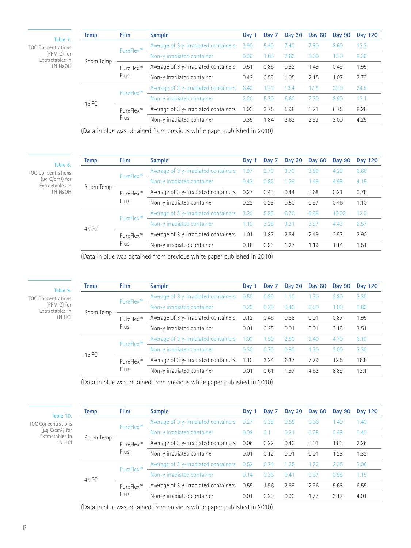**Table 7.**  TOC Concentrations (PPM C) for Extractables in 1N NaOH

| Temp         | <b>Film</b> | <b>Sample</b>                                | Day 1 | Day 7 | Day 30 | <b>Day 60</b> | Day 90 | Day 120 |
|--------------|-------------|----------------------------------------------|-------|-------|--------|---------------|--------|---------|
|              | PureFlex™   | Average of 3 $\gamma$ -irradiated containers | 3.90  | 5.40  | 7.40   | 7.80          | 8.60   | 13.3    |
| Room Temp    |             | Non- $\gamma$ irradiated container           | 0.90  | 1.60  | 2.60   | 3.00          | 10.0   | 8.30    |
|              | PureFlex™   | Average of $3 \gamma$ -irradiated containers | 0.51  | 0.86  | 0.92   | 1.49          | 0.49   | 1.95    |
|              | Plus        | Non- $\gamma$ irradiated container           | 0.42  | 0.58  | 1.05   | 2.15          | 1.07   | 2.73    |
|              | PureFlex™   | Average of 3 $\gamma$ -irradiated containers | 6.40  | 10.3  | 13.4   | 17.8          | 20.0   | 24.5    |
|              |             | Non- $γ$ irradiated container                | 2.20  | 5.30  | 6.60   | 7.70          | 8.90   | 13.1    |
| $45^{\circ}$ | PureFlex™   | Average of 3 $\gamma$ -irradiated containers | 1.93  | 3.75  | 5.98   | 6.21          | 6.75   | 8.28    |
|              | Plus        | Non- $\gamma$ irradiated container           | 0.35  | 1.84  | 2.63   | 2.93          | 3.00   | 4.25    |
|              |             |                                              |       |       |        |               |        |         |

(Data in blue was obtained from previous white paper published in 2010)

**Table 8.** 

TOC Concentrations (μg C/cm²) for Extractables in 1N NaOH

| Temp         | <b>Film</b>                                 | <b>Sample</b>                                     | Day 1 | Day 7 | Day $30$ | Day 60 | <b>Day 90</b> | Day 120 |
|--------------|---------------------------------------------|---------------------------------------------------|-------|-------|----------|--------|---------------|---------|
|              | PureFlex™<br>Room Temp<br>PureFlex™<br>Plus | Average of 3 $\gamma$ -irradiated containers 1.97 |       | 2.70  | 3.70     | 3.89   | 4.29          | 6.66    |
|              |                                             | Non- $\gamma$ irradiated container                | 0.43  | 0.82  | 1.29     | 1.49   | 4.98          | 4.15    |
|              |                                             | Average of $3 \gamma$ -irradiated containers 0.27 |       | 0.43  | 0.44     | 0.68   | 0.21          | 0.78    |
|              |                                             | Non-γ irradiated container                        | 0.22  | 0.29  | 0.50     | 0.97   | 0.46          | 1.10    |
|              | PureFlex™                                   | Average of 3 $\gamma$ -irradiated containers      | 3.20  | 5.95  | 6.70     | 8.88   | 10.02         | 12.3    |
| $45^{\circ}$ |                                             | Non- $\gamma$ irradiated container                | 1.10  | 3.28  | 3.31     | 3.87   | 4.43          | 6.57    |
|              | PureFlex™                                   | Average of $3 \gamma$ -irradiated containers      | 1.01  | 1.87  | 2.84     | 2.49   | 2.53          | 2.90    |
|              | Plus                                        | Non- $\gamma$ irradiated container                | 0.18  | 0.93  | 1.27     | 1.19   | 1.14          | 1.51    |

(Data in blue was obtained from previous white paper published in 2010)

| Temp              | <b>Film</b>       | <b>Sample</b>                                | Day 1 | Day 7 | <b>Day 30</b> | Day 60 | Day 90 | <b>Day 120</b> |
|-------------------|-------------------|----------------------------------------------|-------|-------|---------------|--------|--------|----------------|
|                   | PureFlex™         | Average of 3 $\gamma$ -irradiated containers | 0.50  | 0.80  | 1.10          | 1.30   | 2.80   | 2.80           |
|                   |                   | Non-y irradiated container                   | 0.20  | 0.20  | 0.40          | 0.50   | 1.00   | 0.80           |
| Room Temp         | PureFlex™<br>Plus | Average of $3 \gamma$ -irradiated containers | 0.12  | 0.46  | 0.88          | 0.01   | 0.87   | 1.95           |
|                   |                   | Non- $\gamma$ irradiated container           | 0.01  | 0.25  | 0.01          | 0.01   | 3.18   | 3.51           |
|                   | PureFlex™         | Average of 3 $\gamma$ -irradiated containers | 1.00  | 1.50  | 2.50          | 3.40   | 4.70   | 6.10           |
|                   |                   | Non-γ irradiated container                   | 0.30  | 0.70  | 0.80          | 1.30   | 2.00   | 2.30           |
| 45 <sup>o</sup> C | PureFlex™<br>Plus | Average of $3 \gamma$ -irradiated containers | 1.10  | 3.24  | 6.37          | 7.79   | 12.5   | 16.8           |
|                   |                   | Non- $γ$ irradiated container                | 0.01  | 0.61  | 1.97          | 4.62   | 8.89   | 12.1           |

(Data in blue was obtained from previous white paper published in 2010)

| Table 10.                                       | <b>Temp</b>       | <b>Film</b>       | <b>Sample</b>                                | Day 1 | Day 7 | Day 30 | Day 60 | Day 90 | <b>Day 120</b> |
|-------------------------------------------------|-------------------|-------------------|----------------------------------------------|-------|-------|--------|--------|--------|----------------|
| <b>TOC Concentrations</b>                       | Room Temp         | PureFlex™         | Average of 3 $\gamma$ -irradiated containers | 0.27  | 0.38  | 0.55   | 0.66   | 1.40   | 1.40           |
| $(\mu q \text{ C/cm}^2)$ for<br>Extractables in |                   |                   | Non- $\gamma$ irradiated container           | 0.08  | 0.1   | 0.21   | 0.25   | 0.48   | 0.40           |
| 1N HCI                                          |                   | PureFlex™         | Average of $3 \gamma$ -irradiated containers | 0.06  | 0.22  | 0.40   | 0.01   | 1.83   | 2.26           |
|                                                 |                   | Plus              | Non- $\gamma$ irradiated container           | 0.01  | 0.12  | 0.01   | 0.01   | 1.28   | 1.32           |
|                                                 | 45 <sup>o</sup> C | PureFlex™         | Average of 3 $\gamma$ -irradiated containers | 0.52  | 0.74  | 1.25   | 1.72   | 2.35   | 3.06           |
|                                                 |                   |                   | Non- $\gamma$ irradiated container           | 0.14  | 0.36  | 0.41   | 0.67   | 0.98   | 1.15           |
|                                                 |                   | PureFlex™<br>Plus | Average of $3 \gamma$ -irradiated containers | 0.55  | 1.56  | 2.89   | 2.96   | 5.68   | 6.55           |
|                                                 |                   |                   | Non- $\gamma$ irradiated container           | 0.01  | 0.29  | 0.90   | 1.77   | 3.17   | 4.01           |

(Data in blue was obtained from previous white paper published in 2010)

TOC Concentration  $(PPM C)$  for Extractables  $1N H$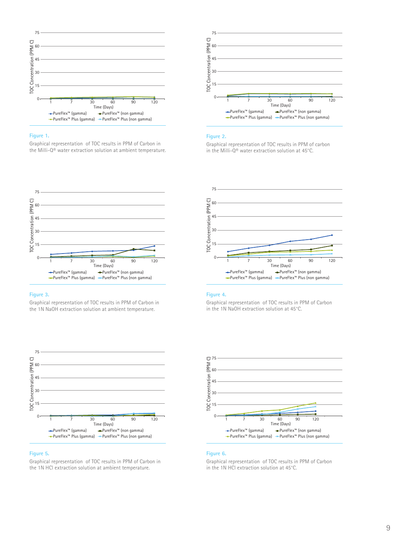

#### **Figure 1.**

Graphical representation of TOC results in PPM of Carbon in the Milli-Q® water extraction solution at ambient temperature.



#### **Figure 3.**

Graphical representation of TOC results in PPM of Carbon in the 1N NaOH extraction solution at ambient temperature.



#### **Figure 5.**

Graphical representation of TOC results in PPM of Carbon in the 1N HCl extraction solution at ambient temperature.



#### **Figure 2.**

Graphical representation of TOC results in PPM of carbon in the Milli-Q® water extraction solution at 45°C.



#### **Figure 4.**

Graphical representation of TOC results in PPM of Carbon in the 1N NaOH extraction solution at 45°C.



#### **Figure 6.**

Graphical representation of TOC results in PPM of Carbon in the 1N HCl extraction solution at 45°C.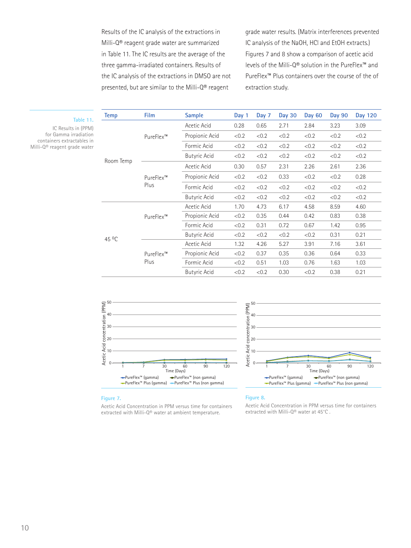Results of the IC analysis of the extractions in Milli-Q® reagent grade water are summarized in Table 11. The IC results are the average of the three gamma-irradiated containers. Results of the IC analysis of the extractions in DMSO are not presented, but are similar to the Milli-Q® reagent

grade water results. (Matrix interferences prevented IC analysis of the NaOH, HCl and EtOH extracts.) Figures 7 and 8 show a comparison of acetic acid levels of the Milli-Q® solution in the PureFlex™ and PureFlex™ Plus containers over the course of the of extraction study.

| <b>Temp</b> | Film              | <b>Sample</b>       | Day 1 | Day 7 | <b>Day 30</b> | Day 60 | Day 90 | Day 120 |
|-------------|-------------------|---------------------|-------|-------|---------------|--------|--------|---------|
|             |                   | Acetic Acid         | 0.28  | 0.65  | 2.71          | 2.84   | 3.23   | 3.09    |
|             | PureFlex™         | Propionic Acid      | < 0.2 | < 0.2 | < 0.2         | < 0.2  | < 0.2  | < 0.2   |
|             |                   | Formic Acid         | < 0.2 | < 0.2 | < 0.2         | < 0.2  | < 0.2  | < 0.2   |
|             |                   | <b>Butyric Acid</b> | < 0.2 | < 0.2 | < 0.2         | < 0.2  | < 0.2  | < 0.2   |
| Room Temp   |                   | Acetic Acid         | 0.30  | 0.57  | 2.31          | 2.26   | 2.61   | 2.36    |
|             | PureFlex™<br>Plus | Propionic Acid      | < 0.2 | < 0.2 | 0.33          | < 0.2  | < 0.2  | 0.28    |
|             |                   | Formic Acid         | < 0.2 | < 0.2 | < 0.2         | < 0.2  | < 0.2  | < 0.2   |
|             |                   | <b>Butyric Acid</b> | < 0.2 | < 0.2 | < 0.2         | < 0.2  | < 0.2  | < 0.2   |
|             | PureFlex™         | Acetic Acid         | 1.70  | 4.73  | 6.17          | 4.58   | 8.59   | 4.60    |
|             |                   | Propionic Acid      | < 0.2 | 0.35  | 0.44          | 0.42   | 0.83   | 0.38    |
| 45 °C       |                   | Formic Acid         | < 0.2 | 0.31  | 0.72          | 0.67   | 1.42   | 0.95    |
|             |                   | <b>Butyric Acid</b> | < 0.2 | < 0.2 | < 0.2         | < 0.2  | 0.31   | 0.21    |
|             | PureFlex™<br>Plus | Acetic Acid         | 1.32  | 4.26  | 5.27          | 3.91   | 7.16   | 3.61    |
|             |                   | Propionic Acid      | < 0.2 | 0.37  | 0.35          | 0.36   | 0.64   | 0.33    |
|             |                   | Formic Acid         | < 0.2 | 0.51  | 1.03          | 0.76   | 1.63   | 1.03    |
|             |                   | <b>Butyric Acid</b> | < 0.2 | < 0.2 | 0.30          | < 0.2  | 0.38   | 0.21    |





#### **Figure 7.**

**Table 11.**  IC Results in (PPM) for Gamma irradiation containers extractables in Milli-Q® reagent grade water

> Acetic Acid Concentration in PPM versus time for containers extracted with Milli-Q® water at ambient temperature.

#### **Figure 8.**

Acetic Acid Concentration in PPM versus time for containers extracted with Milli-Q® water at 45°C.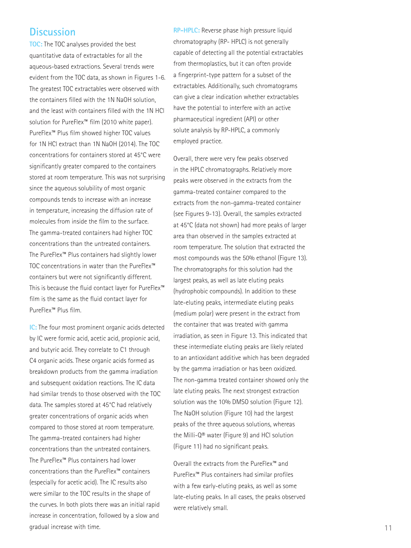# **Discussion**

**TOC:** The TOC analyses provided the best quantitative data of extractables for all the aqueous-based extractions. Several trends were evident from the TOC data, as shown in Figures 1-6. The greatest TOC extractables were observed with the containers filled with the 1N NaOH solution, and the least with containers filled with the 1N HCl solution for PureFlex™ film (2010 white paper). PureFlex™ Plus film showed higher TOC values for 1N HCl extract than 1N NaOH (2014). The TOC concentrations for containers stored at 45°C were significantly greater compared to the containers stored at room temperature. This was not surprising since the aqueous solubility of most organic compounds tends to increase with an increase in temperature, increasing the diffusion rate of molecules from inside the film to the surface. The gamma-treated containers had higher TOC concentrations than the untreated containers. The PureFlex™ Plus containers had slightly lower TOC concentrations in water than the PureFlex™ containers but were not significantly different. This is because the fluid contact layer for PureFlex™ film is the same as the fluid contact layer for PureFlex™ Plus film.

**IC:** The four most prominent organic acids detected by IC were formic acid, acetic acid, propionic acid, and butyric acid. They correlate to C1 through C4 organic acids. These organic acids formed as breakdown products from the gamma irradiation and subsequent oxidation reactions. The IC data had similar trends to those observed with the TOC data. The samples stored at 45°C had relatively greater concentrations of organic acids when compared to those stored at room temperature. The gamma-treated containers had higher concentrations than the untreated containers. The PureFlex™ Plus containers had lower concentrations than the PureFlex™ containers (especially for acetic acid). The IC results also were similar to the TOC results in the shape of the curves. In both plots there was an initial rapid increase in concentration, followed by a slow and gradual increase with time.

**RP-HPLC:** Reverse phase high pressure liquid chromatography (RP- HPLC) is not generally capable of detecting all the potential extractables from thermoplastics, but it can often provide a fingerprint-type pattern for a subset of the extractables. Additionally, such chromatograms can give a clear indication whether extractables have the potential to interfere with an active pharmaceutical ingredient (API) or other solute analysis by RP-HPLC, a commonly employed practice.

Overall, there were very few peaks observed in the HPLC chromatographs. Relatively more peaks were observed in the extracts from the gamma-treated container compared to the extracts from the non-gamma-treated container (see Figures 9-13). Overall, the samples extracted at 45°C (data not shown) had more peaks of larger area than observed in the samples extracted at room temperature. The solution that extracted the most compounds was the 50% ethanol (Figure 13). The chromatographs for this solution had the largest peaks, as well as late eluting peaks (hydrophobic compounds). In addition to these late-eluting peaks, intermediate eluting peaks (medium polar) were present in the extract from the container that was treated with gamma irradiation, as seen in Figure 13. This indicated that these intermediate eluting peaks are likely related to an antioxidant additive which has been degraded by the gamma irradiation or has been oxidized. The non-gamma treated container showed only the late eluting peaks. The next strongest extraction solution was the 10% DMSO solution (Figure 12). The NaOH solution (Figure 10) had the largest peaks of the three aqueous solutions, whereas the Milli-Q® water (Figure 9) and HCl solution (Figure 11) had no significant peaks.

Overall the extracts from the PureFlex™ and PureFlex™ Plus containers had similar profiles with a few early-eluting peaks, as well as some late-eluting peaks. In all cases, the peaks observed were relatively small.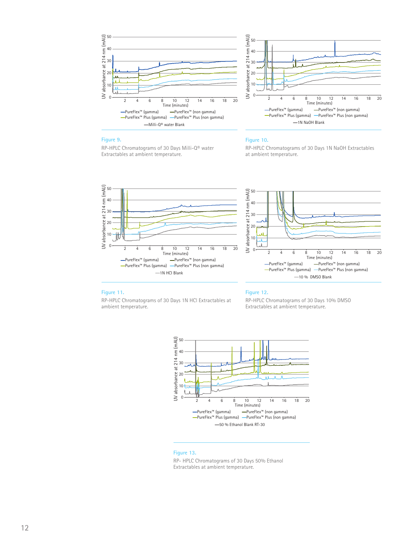



#### **Figure 9.**

RP-HPLC Chromatograms of 30 Days Milli-Q® water Extractables at ambient temperature.

#### **Figure 10.**

RP-HPLC Chromatograms of 30 Days 1N NaOH Extractables at ambient temperature.





#### **Figure 11.**

RP-HPLC Chromatograms of 30 Days 1N HCl Extractables at ambient temperature.

#### **Figure 12.**

RP-HPLC Chromatograms of 30 Days 10% DMSO Extractables at ambient temperature.



#### **Figure 13.**

RP- HPLC Chromatograms of 30 Days 50% Ethanol Extractables at ambient temperature.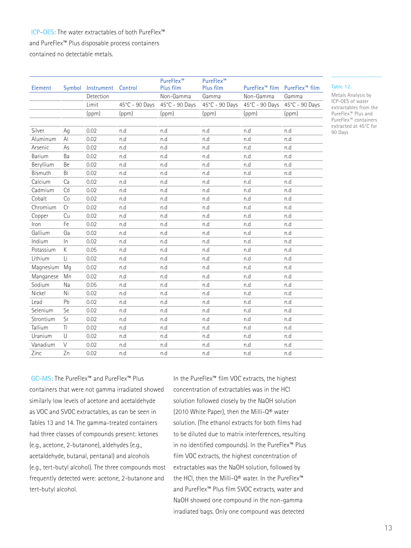### **ICP-OES:** The water extractables of both PureFlex™ and PureFlex™ Plus disposable process containers contained no detectable metals.

Element Symbol Instrument Control Plus film PureFlex™<br>Plus film PureFlex<sup>™</sup> film PureFlex<sup>™</sup> film Detection Non-Gamma Gamma Non-Gamma Gamma Limit 45°C - 90 Days 45°C - 90 Days 45°C - 90 Days 45°C - 90 Days 45°C - 90 Days (ppm) (ppm) (ppm) (ppm) (ppm) (ppm) Silver Ag 0.02 n.d n.d n.d n.d n.d Aluminum Al 0.02 n.d n.d n.d n.d n.d Arsenic As 0.02 n.d n.d n.d n.d n.d Barium Ba 0.02 n.d n.d n.d n.d n.d Beryllium Be 0.02 n.d n.d n.d n.d n.d Bismuth Bi 0.02 n.d n.d n.d n.d n.d Calcium Ca 0.02 n.d n.d n.d n.d n.d Cadmium Cd 0.02 n.d n.d n.d n.d n.d

Cobalt Co 0.02 n.d n.d n.d n.d n.d Chromium Cr 0.02 n.d n.d n.d n.d n.d Copper Cu 0.02 n.d n.d n.d n.d n.d Iron Fe 0.02 n.d n.d n.d n.d n.d Gallium Ga 0.02 n.d n.d n.d n.d n.d Indium In 0.02 n.d n.d n.d n.d n.d Potassium K 0.05 n.d n.d n.d n.d n.d Lithium Li 0.02 n.d n.d n.d n.d n.d Magnesium Mg 0.02 n.d n.d n.d n.d n.d Manganese Mn 0.02 n.d n.d n.d n.d n.d Sodium Na 0.05 n.d n.d n.d n.d n.d Nickel Ni 0.02 n.d n.d n.d n.d n.d Lead Pb 0.02 n.d n.d n.d n.d n.d Selenium Se 0.02 n.d n.d n.d n.d n.d Strontium Sr 0.02 n.d n.d n.d n.d n.d Tallium Tl 0.02 n.d n.d n.d n.d n.d Uranium U 0.02 n.d n.d n.d n.d n.d Vanadium V 0.02 n.d n.d n.d n.d n.d Zinc Zn 0.02 n.d n.d n.d n.d n.d

PureFlex™

**Table 12.** 

Metals Analysis by ICP-OES of water extractables from the PureFlex™ Plus and PureFlex™ containers extracted at 45°C for 90 Days

**GC-MS:** The PureFlex™ and PureFlex™ Plus containers that were not gamma irradiated showed similarly low levels of acetone and acetaldehyde as VOC and SVOC extractables, as can be seen in Tables 13 and 14. The gamma-treated containers had three classes of compounds present: ketones (e.g., acetone, 2-butanone), aldehydes (e.g., acetaldehyde, butanal, pentanal) and alcohols (e.g., tert-butyl alcohol). The three compounds most frequently detected were: acetone, 2-butanone and tert-butyl alcohol.

In the PureFlex™ film VOC extracts, the highest concentration of extractables was in the HCl solution followed closely by the NaOH solution (2010 White Paper), then the Milli-Q® water solution. (The ethanol extracts for both films had to be diluted due to matrix interferences, resulting in no identified compounds). In the PureFlex™ Plus film VOC extracts, the highest concentration of extractables was the NaOH solution, followed by the HCl, then the Milli-Q® water. In the PureFlex™ and PureFlex™ Plus film SVOC extracts, water and NaOH showed one compound in the non-gamma irradiated bags. Only one compound was detected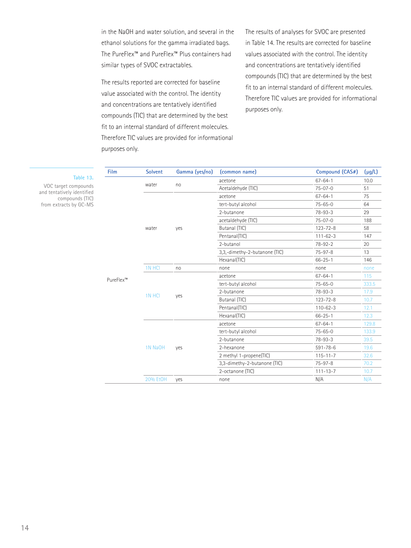in the NaOH and water solution, and several in the ethanol solutions for the gamma irradiated bags. The PureFlex™ and PureFlex™ Plus containers had similar types of SVOC extractables.

The results reported are corrected for baseline value associated with the control. The identity and concentrations are tentatively identified compounds (TIC) that are determined by the best fit to an internal standard of different molecules. Therefore TIC values are provided for informational purposes only.

The results of analyses for SVOC are presented in Table 14. The results are corrected for baseline values associated with the control. The identity and concentrations are tentatively identified compounds (TIC) that are determined by the best fit to an internal standard of different molecules. Therefore TIC values are provided for informational purposes only.

| <b>Film</b> | <b>Solvent</b> | Gamma (yes/no)                                                                                   | (common name)                 | Compound (CAS#)    | $(\mu g/L)$   |       |
|-------------|----------------|--------------------------------------------------------------------------------------------------|-------------------------------|--------------------|---------------|-------|
|             | water          | no                                                                                               | acetone                       | $67 - 64 - 1$      | 10.0          |       |
|             |                |                                                                                                  | Acetaldehyde (TIC)            | $75 - 07 - 0$      | 51            |       |
|             |                | yes                                                                                              | acetone                       | $67 - 64 - 1$      | 75            |       |
|             |                |                                                                                                  | tert-butyl alcohol            | $75 - 65 - 0$      | 64            |       |
|             |                |                                                                                                  | 2-butanone                    | $78 - 93 - 3$      | 29            |       |
|             |                |                                                                                                  | acetaldehyde (TIC)            | $75 - 07 - 0$      | 188           |       |
|             | water          |                                                                                                  | Butanal (TIC)                 | $123 - 72 - 8$     | 58            |       |
|             |                |                                                                                                  | Pentanal(TIC)                 | $111 - 62 - 3$     | 147           |       |
|             |                |                                                                                                  | 2-butanol                     | $78 - 92 - 2$      | 20            |       |
|             |                |                                                                                                  | 3,3,-dimethy-2-butanone (TIC) | $75 - 97 - 8$      | 13            |       |
|             |                |                                                                                                  | Hexanal(TIC)                  | $66 - 25 - 1$      | 146           |       |
|             | 1N HCI         | no                                                                                               | none                          | none               | none          |       |
| PureFlex™   |                | yes                                                                                              | acetone                       | $67 - 64 - 1$      | 115           |       |
|             |                |                                                                                                  | tert-butyl alcohol            | $75 - 65 - 0$      | 333.5         |       |
|             | 1N HCI         |                                                                                                  | 2-butanone                    | $78 - 93 - 3$      | 17.9          |       |
|             |                |                                                                                                  | Butanal (TIC)                 | $123 - 72 - 8$     | 10.7          |       |
|             |                |                                                                                                  | Pentanal(TIC)                 | $110 - 62 - 3$     | 12.1          |       |
|             |                |                                                                                                  | Hexanal(TIC)                  | $66 - 25 - 1$      | 12.3          |       |
|             |                |                                                                                                  | acetone                       | $67 - 64 - 1$      | 129.8         |       |
|             |                |                                                                                                  |                               | tert-butyl alcohol | $75 - 65 - 0$ | 133.9 |
|             |                |                                                                                                  |                               | 2-butanone         | $78 - 93 - 3$ | 39.5  |
|             | 1N NaOH        | 2-hexanone<br>yes<br>2 methyl 1-propene(TIC)<br>3,3-dimethy-2-butanone (TIC)<br>2-octanone (TIC) | $591 - 78 - 6$                | 19.6               |               |       |
|             |                |                                                                                                  |                               | $115 - 11 - 7$     | 32.6          |       |
|             |                |                                                                                                  |                               | $75 - 97 - 8$      | 70.2          |       |
|             |                |                                                                                                  |                               | $111 - 13 - 7$     | 10.7          |       |
|             | 20% EtOH       | yes                                                                                              | none                          | N/A                | N/A           |       |

VOC target co

and tentatively compou from extracts b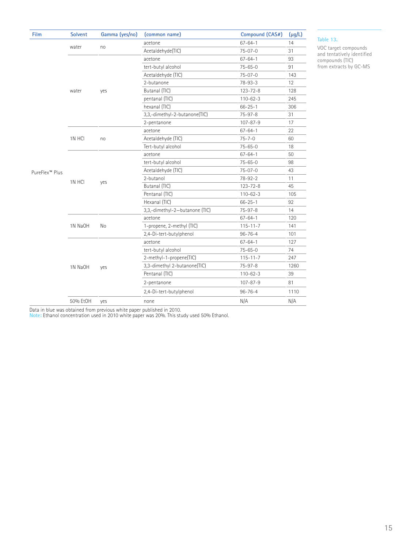| Film                       | <b>Solvent</b> | Gamma (yes/no) | (common name)                  | Compound (CAS#) | $(\mu g/L)$ |
|----------------------------|----------------|----------------|--------------------------------|-----------------|-------------|
|                            |                | no             | acetone                        | $67 - 64 - 1$   | 14          |
|                            | water          |                | Acetaldehyde(TIC)              | $75 - 07 - 0$   | 31          |
|                            |                |                | acetone                        | $67 - 64 - 1$   | 93          |
|                            |                | yes            | tert-butyl alcohol             | $75 - 65 - 0$   | 91          |
|                            |                |                | Acetaldehyde (TIC)             | $75 - 07 - 0$   | 143         |
|                            |                |                | 2-butanone                     | $78 - 93 - 3$   | 12          |
|                            | water          |                | Butanal (TIC)                  | $123 - 72 - 8$  | 128         |
|                            |                |                | pentanal (TIC)                 | $110 - 62 - 3$  | 245         |
|                            |                |                | hexanal (TIC)                  | $66 - 25 - 1$   | 306         |
|                            |                |                | 3,3,-dimethyl-2-butanone(TIC)  | $75 - 97 - 8$   | 31          |
|                            |                |                | 2-pentanone                    | $107 - 87 - 9$  | 17          |
|                            | 1N HCI         | no             | acetone                        | $67 - 64 - 1$   | 22          |
|                            |                |                | Acetaldehyde (TIC)             | $75 - 7 - 0$    | 60          |
|                            |                |                | Tert-butyl alcohol             | $75 - 65 - 0$   | 18          |
|                            | 1N HCI         | yes            | acetone                        | $67 - 64 - 1$   | 50          |
|                            |                |                | tert-butyl alcohol             | $75 - 65 - 0$   | 98          |
| PureFlex <sup>™</sup> Plus |                |                | Acetaldehyde (TIC)             | $75 - 07 - 0$   | 43          |
|                            |                |                | 2-butanol                      | $78 - 92 - 2$   | 11          |
|                            |                |                | Butanal (TIC)                  | $123 - 72 - 8$  | 45          |
|                            |                |                | Pentanal (TIC)                 | $110 - 62 - 3$  | 105         |
|                            |                |                | Hexanal (TIC)                  | $66 - 25 - 1$   | 92          |
|                            |                |                | 3,3,-dimethyl-2-butanone (TIC) | $75 - 97 - 8$   | 14          |
|                            | 1N NaOH        | No             | acetone                        | $67 - 64 - 1$   | 120         |
|                            |                |                | 1-propene, 2-methyl (TIC)      | $115 - 11 - 7$  | 141         |
|                            |                |                | 2,4-Di-tert-butylphenol        | $96 - 76 - 4$   | 101         |
|                            | 1N NaOH        | yes            | acetone                        | $67 - 64 - 1$   | 127         |
|                            |                |                | tert-butyl alcohol             | $75 - 65 - 0$   | 74          |
|                            |                |                | 2-methyl-1-propene(TIC)        | $115 - 11 - 7$  | 247         |
|                            |                |                | 3,3-dimethyl 2-butanone(TIC)   | $75 - 97 - 8$   | 1260        |
|                            |                |                | Pentanal (TIC)                 | $110 - 62 - 3$  | 39          |
|                            |                |                | 2-pentanone                    | $107 - 87 - 9$  | 81          |
|                            |                |                | 2,4-Di-tert-butylphenol        | $96 - 76 - 4$   | 1110        |
|                            | 50% EtOH       | yes            | none                           | N/A             | N/A         |

#### **Table 13.**

VOC target compounds and tentatively identified compounds (TIC) from extracts by GC-MS

Data in blue was obtained from previous white paper published in 2010.

**Note:** Ethanol concentration used in 2010 white paper was 20%. This study used 50% Ethanol.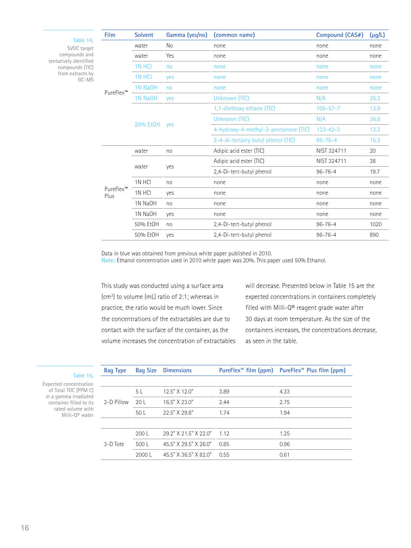| Table 14.                                                                                     | Film              | <b>Solvent</b>  | Gamma (yes/no)            | (common name)                        | Compound (CAS#)                                                | $(\mu g/L)$  |
|-----------------------------------------------------------------------------------------------|-------------------|-----------------|---------------------------|--------------------------------------|----------------------------------------------------------------|--------------|
| SVOC target<br>compounds and<br>tentatively identified<br>compounds (TIC)<br>from extracts by | PureFlex™         | water           | No                        | none                                 | none                                                           | none         |
|                                                                                               |                   | water           | Yes                       | none                                 | none                                                           | none         |
|                                                                                               |                   | 1N HCI          | no                        | none                                 | none                                                           | none         |
| GC-MS                                                                                         |                   | 1N HCI          | yes                       | none                                 | none                                                           | none         |
|                                                                                               |                   | 1N NaOH         | no                        | none                                 | none                                                           | none         |
|                                                                                               |                   | 1N NaOH         | yes                       | Unknown (TIC)                        | N/A                                                            | 25.3         |
|                                                                                               |                   | 20% Et0H<br>yes | 1.1-diethoxy ethane (TIC) | $105 - 57 - 7$                       | 13.9                                                           |              |
|                                                                                               |                   |                 |                           | Unknown (TIC)                        | N/A                                                            | 36.8         |
|                                                                                               |                   |                 |                           | 4-hydroxy-4-methyl-2-pentanone (TIC) | $123 - 42 - 2$                                                 | 12.3         |
|                                                                                               |                   |                 |                           | 2-4-di-tertairy butyl phenol (TIC)   | $96 - 76 - 4$                                                  | 15.3         |
|                                                                                               |                   | water           | no                        | Adipic acid ester (TIC)              | NIST 324711                                                    | 20           |
|                                                                                               |                   |                 |                           | Adipic acid ester (TIC)              | NIST 324711                                                    | 38           |
|                                                                                               |                   | water           | yes                       | 2.4-Di-tert-butyl phenol             | $96 - 76 - 4$<br>none<br>none<br>none<br>none<br>$96 - 76 - 4$ | 19.7         |
|                                                                                               |                   | 1N HCI          | no                        | none                                 |                                                                | none         |
|                                                                                               | PureFlex™<br>Plus | 1N HCI          | yes                       | none                                 |                                                                | none<br>none |
|                                                                                               |                   | 1N NaOH         | no                        | none                                 |                                                                |              |
|                                                                                               |                   | 1N NaOH         | yes                       | none                                 |                                                                | none         |
|                                                                                               |                   | 50% EtOH        | no                        | 2,4-Di-tert-butyl phenol             |                                                                | 1020         |
|                                                                                               |                   | 50% EtOH        | yes                       | 2,4-Di-tert-butyl phenol             | $96 - 76 - 4$                                                  | 890          |

Data in blue was obtained from previous white paper published in 2010.

**Note:** Ethanol concentration used in 2010 white paper was 20%. This paper used 50% Ethanol.

This study was conducted using a surface area (cm2 ) to volume (mL) ratio of 2:1; whereas in practice, the ratio would be much lower. Since the concentrations of the extractables are due to contact with the surface of the container, as the volume increases the concentration of extractables will decrease. Presented below in Table 15 are the expected concentrations in containers completely filled with Milli-Q® reagent grade water after 30 days at room temperature. As the size of the containers increases, the concentrations decrease, as seen in the table.

| <b>Bag Type</b> | <b>Bag Size</b> | <b>Dimensions</b>     |       | PureFlex <sup>"</sup> film (ppm) PureFlex <sup>"</sup> Plus film (ppm) |
|-----------------|-----------------|-----------------------|-------|------------------------------------------------------------------------|
|                 |                 |                       |       |                                                                        |
|                 | 5 <sub>L</sub>  | $12.5''$ X 12 0"      | 3.89  | 4.33                                                                   |
| 2-D Pillow      | 20 L            | 16.5" X 23.0"         | 2.44  | 2.75                                                                   |
|                 | 50L             | 22.5" X 29.8"         | 1.74  | 1.94                                                                   |
|                 |                 |                       |       |                                                                        |
|                 | 200L            | 29.2" X 21.5" X 22.0" | 1 1 2 | 1.25                                                                   |
| 3-D Tote        | 500L            | 45 5" X 29 5" X 26 0" | 0.85  | 0.96                                                                   |
|                 | 2000L           | 45.5" X 36.5" X 82.0" | 0.55  | 0.61                                                                   |

**Table 15.** 

Expected concentration of Total TOC (PPM C) in a gamma irradiated container filled to its rated volume with Milli-Q® water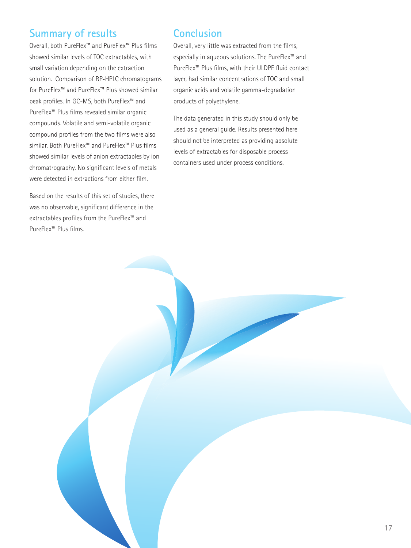# **Summary of results**

Overall, both PureFlex™ and PureFlex™ Plus films showed similar levels of TOC extractables, with small variation depending on the extraction solution. Comparison of RP-HPLC chromatograms for PureFlex™ and PureFlex™ Plus showed similar peak profiles. In GC-MS, both PureFlex™ and PureFlex™ Plus films revealed similar organic compounds. Volatile and semi-volatile organic compound profiles from the two films were also similar. Both PureFlex™ and PureFlex™ Plus films showed similar levels of anion extractables by ion chromatrography. No significant levels of metals were detected in extractions from either film.

Based on the results of this set of studies, there was no observable, significant difference in the extractables profiles from the PureFlex™ and PureFlex™ Plus films.

# **Conclusion**

Overall, very little was extracted from the films, especially in aqueous solutions. The PureFlex™ and PureFlex™ Plus films, with their ULDPE fluid contact layer, had similar concentrations of TOC and small organic acids and volatile gamma-degradation products of polyethylene.

The data generated in this study should only be used as a general guide. Results presented here should not be interpreted as providing absolute levels of extractables for disposable process containers used under process conditions.